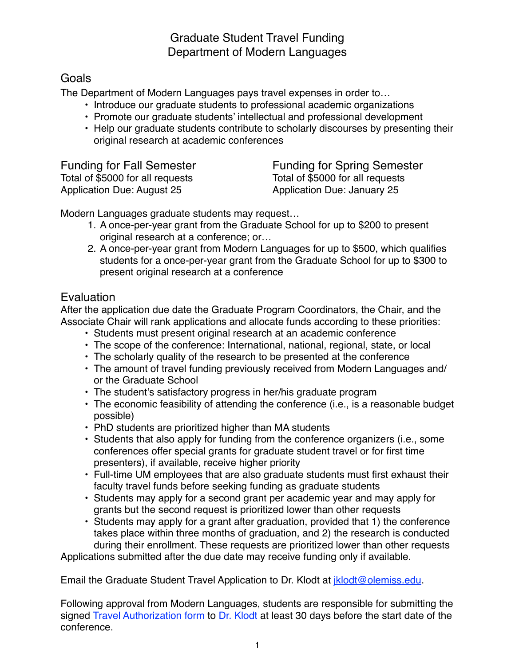## Graduate Student Travel Funding Department of Modern Languages

### **Goals**

The Department of Modern Languages pays travel expenses in order to…

- Introduce our graduate students to professional academic organizations
- Promote our graduate students' intellectual and professional development
- Help our graduate students contribute to scholarly discourses by presenting their original research at academic conferences

Total of \$5000 for all requests<br>Application Due: August 25

Funding for Fall Semester Funding for Spring Semester<br>Total of \$5000 for all requests Fotal of \$5000 for all requests Application Due: January 25

Modern Languages graduate students may request…

- 1. A once-per-year grant from the Graduate School for up to \$200 to present original research at a conference; or…
- 2. A once-per-year grant from Modern Languages for up to \$500, which qualifies students for a once-per-year grant from the Graduate School for up to \$300 to present original research at a conference

# **Evaluation**

After the application due date the Graduate Program Coordinators, the Chair, and the Associate Chair will rank applications and allocate funds according to these priorities:

- Students must present original research at an academic conference
- The scope of the conference: International, national, regional, state, or local
- The scholarly quality of the research to be presented at the conference
- The amount of travel funding previously received from Modern Languages and/ or the Graduate School
- The student's satisfactory progress in her/his graduate program
- The economic feasibility of attending the conference (i.e., is a reasonable budget possible)
- PhD students are prioritized higher than MA students
- Students that also apply for funding from the conference organizers (i.e., some conferences offer special grants for graduate student travel or for first time presenters), if available, receive higher priority
- Full-time UM employees that are also graduate students must first exhaust their faculty travel funds before seeking funding as graduate students
- Students may apply for a second grant per academic year and may apply for grants but the second request is prioritized lower than other requests
- Students may apply for a grant after graduation, provided that 1) the conference takes place within three months of graduation, and 2) the research is conducted during their enrollment. These requests are prioritized lower than other requests

Applications submitted after the due date may receive funding only if available.

Email the Graduate Student Travel Application to Dr. Klodt at *iklodt@olemiss.edu.* 

Following approval from Modern Languages, students are responsible for submitting the signed [Travel Authorization form](https://procurement.olemiss.edu/travel/) to [Dr. Klodt](mailto:%20jklodt@olemiss.edu) at least 30 days before the start date of the conference.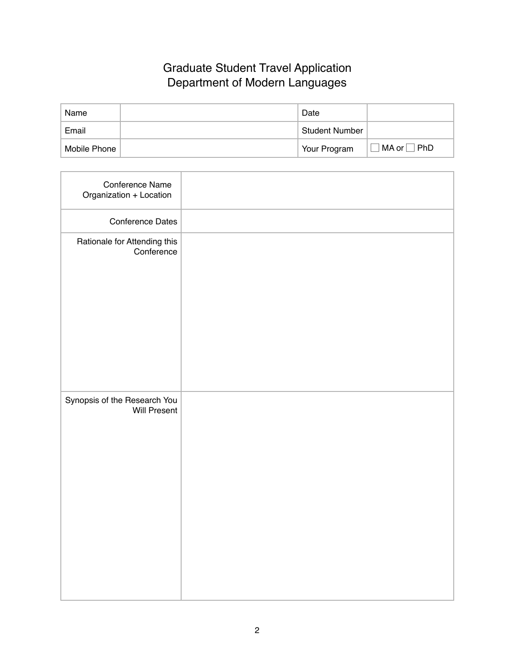## Graduate Student Travel Application Department of Modern Languages

| Name         | Date                  |                         |
|--------------|-----------------------|-------------------------|
| Email        | <b>Student Number</b> |                         |
| Mobile Phone | Your Program          | $MA$ or $\vert$<br> PhD |

| Conference Name<br>Organization + Location          |  |
|-----------------------------------------------------|--|
| <b>Conference Dates</b>                             |  |
| Rationale for Attending this<br>Conference          |  |
| Synopsis of the Research You<br><b>Will Present</b> |  |